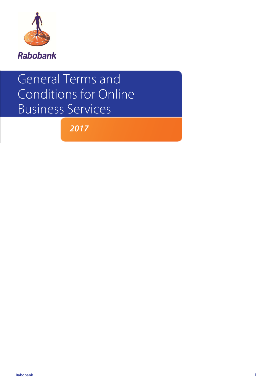

# General Terms and Conditions for Online Business Services

*2017*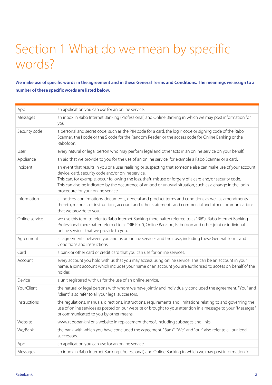# Tarieven zakelijk *Per 1 januari 2015* Section 1 What do we mean by specific words?

**We make use of specific words in the agreement and in these General Terms and Conditions. The meanings we assign to a number of these specific words are listed below.** 

| App            | an application you can use for an online service.                                                                                                                                                                                                                                                                                                                                                                                     |  |
|----------------|---------------------------------------------------------------------------------------------------------------------------------------------------------------------------------------------------------------------------------------------------------------------------------------------------------------------------------------------------------------------------------------------------------------------------------------|--|
| Messages       | an inbox in Rabo Internet Banking (Professional) and Online Banking in which we may post information for<br>you.                                                                                                                                                                                                                                                                                                                      |  |
| Security code  | a personal and secret code, such as the PIN code for a card, the login code or signing code of the Rabo<br>Scanner, the I code or the S code for the Random Reader, or the access code for Online Banking or the<br>Rabofoon.                                                                                                                                                                                                         |  |
| User           | every natural or legal person who may perform legal and other acts in an online service on your behalf.                                                                                                                                                                                                                                                                                                                               |  |
| Appliance      | an aid that we provide to you for the use of an online service, for example a Rabo Scanner or a card.                                                                                                                                                                                                                                                                                                                                 |  |
| Incident       | an event that results in you or a user realising or suspecting that someone else can make use of your account,<br>device, card, security code and/or online service.<br>This can, for example, occur following the loss, theft, misuse or forgery of a card and/or security code.<br>This can also be indicated by the occurrence of an odd or unusual situation, such as a change in the login<br>procedure for your online service. |  |
| Information    | all notices, confirmations, documents, general and product terms and conditions as well as amendments<br>thereto, manuals or instructions, account and other statements and commercial and other communications<br>that we provide to you.                                                                                                                                                                                            |  |
| Online service | we use this term to refer to Rabo Internet Banking (hereinafter referred to as "RIB"), Rabo Internet Banking<br>Professional (hereinafter referred to as "RIB Pro"), Online Banking, Rabofoon and other joint or individual<br>online services that we provide to you.                                                                                                                                                                |  |
| Agreement      | all agreements between you and us on online services and their use, including these General Terms and<br>Conditions and instructions.                                                                                                                                                                                                                                                                                                 |  |
| Card           | a bank or other card or credit card that you can use for online services.                                                                                                                                                                                                                                                                                                                                                             |  |
| Account        | every account you hold with us that you may access using online service. This can be an account in your<br>name, a joint account which includes your name or an account you are authorised to access on behalf of the<br>holder.                                                                                                                                                                                                      |  |
| Device         | a unit registered with us for the use of an online service.                                                                                                                                                                                                                                                                                                                                                                           |  |
| You/Client     | the natural or legal persons with whom we have jointly and individually concluded the agreement. "You" and<br>"client" also refer to all your legal successors.                                                                                                                                                                                                                                                                       |  |
| Instructions   | the regulations, manuals, directions, instructions, requirements and limitations relating to and governing the<br>use of online services as posted on our website or brought to your attention in a message to your "Messages"<br>or communicated to you by other means.                                                                                                                                                              |  |
| Website        | www.rabobank.nl or a website in replacement thereof, including subpages and links.                                                                                                                                                                                                                                                                                                                                                    |  |
| We/Bank        | the bank with which you have concluded the agreement. "Bank", "We" and "our" also refer to all our legal<br>successors.                                                                                                                                                                                                                                                                                                               |  |
| App            | an application you can use for an online service.                                                                                                                                                                                                                                                                                                                                                                                     |  |
| Messages       | an inbox in Rabo Internet Banking (Professional) and Online Banking in which we may post information for                                                                                                                                                                                                                                                                                                                              |  |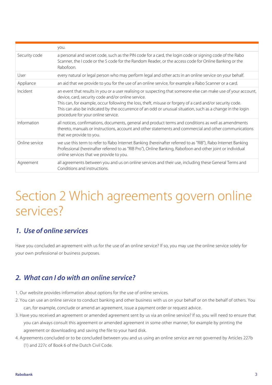|                | you.                                                                                                                                                                                                                                                                                                                                                                                                                                  |
|----------------|---------------------------------------------------------------------------------------------------------------------------------------------------------------------------------------------------------------------------------------------------------------------------------------------------------------------------------------------------------------------------------------------------------------------------------------|
| Security code  | a personal and secret code, such as the PIN code for a card, the login code or signing code of the Rabo<br>Scanner, the I code or the S code for the Random Reader, or the access code for Online Banking or the<br>Rabofoon.                                                                                                                                                                                                         |
| User           | every natural or legal person who may perform legal and other acts in an online service on your behalf.                                                                                                                                                                                                                                                                                                                               |
| Appliance      | an aid that we provide to you for the use of an online service, for example a Rabo Scanner or a card.                                                                                                                                                                                                                                                                                                                                 |
| Incident       | an event that results in you or a user realising or suspecting that someone else can make use of your account,<br>device, card, security code and/or online service.<br>This can, for example, occur following the loss, theft, misuse or forgery of a card and/or security code.<br>This can also be indicated by the occurrence of an odd or unusual situation, such as a change in the login<br>procedure for your online service. |
| Information    | all notices, confirmations, documents, general and product terms and conditions as well as amendments<br>thereto, manuals or instructions, account and other statements and commercial and other communications<br>that we provide to you.                                                                                                                                                                                            |
| Online service | we use this term to refer to Rabo Internet Banking (hereinafter referred to as "RIB"), Rabo Internet Banking<br>Professional (hereinafter referred to as "RIB Pro"), Online Banking, Rabofoon and other joint or individual<br>online services that we provide to you.                                                                                                                                                                |
| Agreement      | all agreements between you and us on online services and their use, including these General Terms and<br>Conditions and instructions.                                                                                                                                                                                                                                                                                                 |

## Section 2 Which agreements govern online services?

## *1. Use of online services*

Have you concluded an agreement with us for the use of an online service? If so, you may use the online service solely for your own professional or business purposes.

## *2. What can I do with an online service?*

- 1. Our website provides information about options for the use of online services.
- 2. You can use an online service to conduct banking and other business with us on your behalf or on the behalf of others. You can, for example, conclude or amend an agreement, issue a payment order or request advice.
- 3. Have you received an agreement or amended agreement sent by us via an online service? If so, you will need to ensure that you can always consult this agreement or amended agreement in some other manner, for example by printing the agreement or downloading and saving the file to your hard disk.
- 4. Agreements concluded or to be concluded between you and us using an online service are not governed by Articles 227b (1) and 227c of Book 6 of the Dutch Civil Code.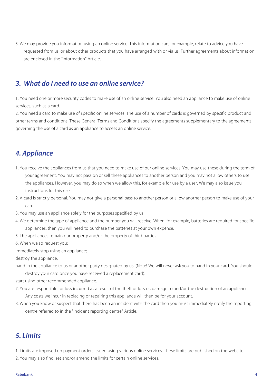thar 2015.<br>The may provide you information using an online service. This information can, for example, relate to advice you have<br>Salle service. This information or allergies and the service. This information can, for examp requested from us, or about other products that you have arranged with or via us. Further agreements about information are enclosed in the "Information" Article.

### *3. What do I need to use an online service?*

1. You need one or more security codes to make use of an online service. You also need an appliance to make use of online services, such as a card.

2. You need a card to make use of specific online services. The use of a number of cards is governed by specific product and other terms and conditions. These General Terms and Conditions specify the agreements supplementary to the agreements governing the use of a card as an appliance to access an online service.

### *4. Appliance*

- 1. You receive the appliances from us that you need to make use of our online services. You may use these during the term of your agreement. You may not pass on or sell these appliances to another person and you may not allow others to use the appliances. However, you may do so when we allow this, for example for use by a user. We may also issue you instructions for this use.
- 2. A card is strictly personal. You may not give a personal pass to another person or allow another person to make use of your card.
- 3. You may use an appliance solely for the purposes specified by us.
- 4. We determine the type of appliance and the number you will receive. When, for example, batteries are required for specific appliances, then you will need to purchase the batteries at your own expense.
- 5. The appliances remain our property and/or the property of third parties.
- 6. When we so request you:
- immediately stop using an appliance;
- destroy the appliance;
- hand in the appliance to us or another party designated by us. (Note! We will never ask you to hand in your card. You should destroy your card once you have received a replacement card).
- start using other recommended appliance.
- 7. You are responsible for loss incurred as a result of the theft or loss of, damage to and/or the destruction of an appliance. Any costs we incur in replacing or repairing this appliance will then be for your account.
- 8. When you know or suspect that there has been an incident with the card then you must immediately notify the reporting centre referred to in the "Incident reporting centre" Article.

### *5. Limits*

1. Limits are imposed on payment orders issued using various online services. These limits are published on the website.

2. You may also find, set and/or amend the limits for certain online services.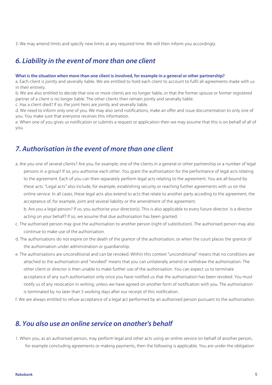a<br>3. We may amend limits and specify new limits at any required time. We will then inform you accordingly.

### *6. Liability in the event of more than one client*

#### **What is the situation when more than one client is involved, for example in a general or other partnership?**

a. Each client is jointly and severally liable. We are entitled to hold each client to account to fulfil all agreements made with us in their entirety.

b. We are also entitled to decide that one or more clients are no longer liable, or that the former spouse or former registered partner of a client is no longer liable. The other clients then remain jointly and severally liable.

c. Has a client died? If so, the joint heirs are jointly and severally liable.

d. We need to inform only one of you. We may also send notifications, make an offer and issue documentation to only one of you. You make sure that everyone receives this information.

e. When one of you gives us notification or submits a request or application then we may assume that this is on behalf of all of you.

### *7. Authorisation in the event of more than one client*

a. Are you one of several clients? Are you, for example, one of the clients in a general or other partnership or a number of legal persons in a group? If so, you authorise each other. You grant the authorisation for the performance of legal acts relating to the agreement. Each of you can then separately perform legal acts relating to the agreement. You are all bound by these acts. "Legal acts" also include, for example, establishing security or reaching further agreements with us on the online service. In all cases, these legal acts also extend to acts that relate to another party acceding to the agreement, the acceptance of, for example, joint and several liability or the amendment of the agreement.

b. Are you a legal person? If so, you authorise your director(s). This is also applicable to every future director. Is a director acting on your behalf? If so, we assume that due authorisation has been granted.

- c. The authorised person may give the authorisation to another person (right of substitution). The authorised person may also continue to make use of the authorisation.
- d. The authorisations do not expire on the death of the grantor of the authorisation, or when the court places the grantor of the authorisation under administration or guardianship.
- e. The authorisations are unconditional and can be revoked. Within this context "unconditional" means that no conditions are attached to the authorisation and "revoked" means that you can unilaterally amend or withdraw the authorisation. The other client or director is then unable to make further use of the authorisation. You can expect us to terminate acceptance of any such authorisation only once you have notified us that the authorisation has been revoked. You must notify us of any revocation in writing, unless we have agreed on another form of notification with you. The authorisation is terminated by no later than 5 working days after our receipt of this notification.
- f. We are always entitled to refuse acceptance of a legal act performed by an authorised person pursuant to the authorisation.

### *8. You also use an online service on another's behalf*

1. When you, as an authorised person, may perform legal and other acts using an online service on behalf of another person, for example concluding agreements or making payments, then the following is applicable. You are under the obligation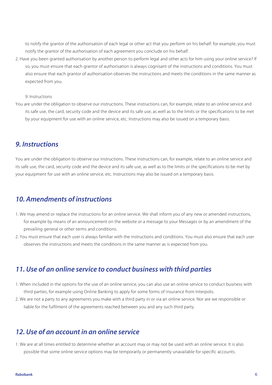to notify the grantor of the authorisation of each legal or other act that you perform on his behalf: for example, you must<br>to notify the grantor of the authorisation of each legal or other act that you perform on his beha notify the grantor of the authorisation of each agreement you conclude on his behalf.

2. Have you been granted authorisation by another person to perform legal and other acts for him using your online service? If so, you must ensure that each grantor of authorisation is always cognisant of the instructions and conditions. You must also ensure that each grantor of authorisation observes the instructions and meets the conditions in the same manner as expected from you.

9. Instructions

You are under the obligation to observe our instructions. These instructions can, for example, relate to an online service and its safe use, the card, security code and the device and its safe use, as well as to the limits or the specifications to be met by your equipment for use with an online service, etc. Instructions may also be issued on a temporary basis.

### *9. Instructions*

You are under the obligation to observe our instructions. These instructions can, for example, relate to an online service and its safe use, the card, security code and the device and its safe use, as well as to the limits or the specifications to be met by your equipment for use with an online service, etc. Instructions may also be issued on a temporary basis.

### *10. Amendments of instructions*

- 1. We may amend or replace the instructions for an online service. We shall inform you of any new or amended instructions, for example by means of an announcement on the website or a message to your Messages or by an amendment of the prevailing general or other terms and conditions.
- 2. You must ensure that each user is always familiar with the instructions and conditions. You must also ensure that each user observes the instructions and meets the conditions in the same manner as is expected from you.

### *11. Use of an online service to conduct business with third parties*

- 1. When included in the options for the use of an online service, you can also use an online service to conduct business with third parties, for example using Online Banking to apply for some forms of insurance from Interpolis.
- 2. We are not a party to any agreements you make with a third party in or via an online service. Nor are we responsible or liable for the fulfilment of the agreements reached between you and any such third party.

### *12. Use of an account in an online service*

1. We are at all times entitled to determine whether an account may or may not be used with an online service. It is also possible that some online service options may be temporarily or permanently unavailable for specific accounts.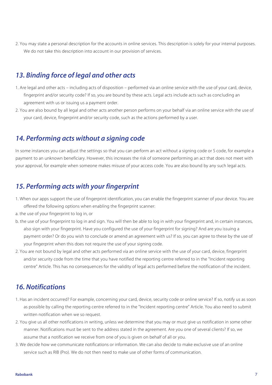.<br>2. You may state a personal description for the accounts in online services. This description is solely for your internal purposes. We do not take this description into account in our provision of services.

### *13. Binding force of legal and other acts*

- 1. Are legal and other acts including acts of disposition performed via an online service with the use of your card, device, fingerprint and/or security code? If so, you are bound by these acts. Legal acts include acts such as concluding an agreement with us or issuing us a payment order.
- 2. You are also bound by all legal and other acts another person performs on your behalf via an online service with the use of your card, device, fingerprint and/or security code, such as the actions performed by a user.

### *14. Performing acts without a signing code*

In some instances you can adjust the settings so that you can perform an act without a signing code or S code, for example a payment to an unknown beneficiary. However, this increases the risk of someone performing an act that does not meet with your approval, for example when someone makes misuse of your access code. You are also bound by any such legal acts.

### *15. Performing acts with your fingerprint*

- 1. When our apps support the use of fingerprint identification, you can enable the fingerprint scanner of your device. You are offered the following options when enabling the fingerprint scanner:
- a. the use of your fingerprint to log in, or
- b. the use of your fingerprint to log in and sign. You will then be able to log in with your fingerprint and, in certain instances, also sign with your fingerprint. Have you configured the use of your fingerprint for signing? And are you issuing a payment order? Or do you wish to conclude or amend an agreement with us? If so, you can agree to these by the use of your fingerprint when this does not require the use of your signing code.
- 2. You are not bound by legal and other acts performed via an online service with the use of your card, device, fingerprint and/or security code from the time that you have notified the reporting centre referred to in the "Incident reporting centre" Article. This has no consequences for the validity of legal acts performed before the notification of the incident.

### *16. Notifications*

- 1. Has an incident occurred? For example, concerning your card, device, security code or online service? If so, notify us as soon as possible by calling the reporting centre referred to in the "Incident reporting centre" Article. You also need to submit written notification when we so request.
- 2. You give us all other notifications in writing, unless we determine that you may or must give us notification in some other manner. Notifications must be sent to the address stated in the agreement. Are you one of several clients? If so, we assume that a notification we receive from one of you is given on behalf of all or you.
- 3. We decide how we communicate notifications or information. We can also decide to make exclusive use of an online service such as RIB (Pro). We do not then need to make use of other forms of communication.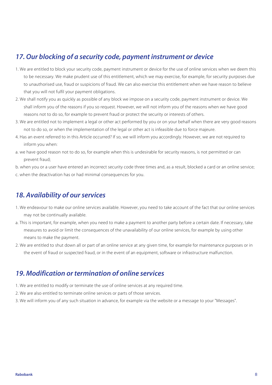### *17. Our blocking of a security code, payment instrument or device*

- 1. We are entitled to block your security code, payment instrument or device for the use of online services when we deem this to be necessary. We make prudent use of this entitlement, which we may exercise, for example, for security purposes due to unauthorised use, fraud or suspicions of fraud. We can also exercise this entitlement when we have reason to believe that you will not fulfil your payment obligations.
- 2. We shall notify you as quickly as possible of any block we impose on a security code, payment instrument or device. We shall inform you of the reasons if you so request. However, we will not inform you of the reasons when we have good reasons not to do so, for example to prevent fraud or protect the security or interests of others.
- 3. We are entitled not to implement a legal or other act performed by you or on your behalf when there are very good reasons not to do so, or when the implementation of the legal or other act is infeasible due to force majeure.
- 4. Has an event referred to in this Article occurred? If so, we will inform you accordingly. However, we are not required to inform you when:
- a. we have good reason not to do so, for example when this is undesirable for security reasons, is not permitted or can prevent fraud;
- b. when you or a user have entered an incorrect security code three times and, as a result, blocked a card or an online service;
- c. when the deactivation has or had minimal consequences for you.

## *18. Availability of our services*

- 1. We endeavour to make our online services available. However, you need to take account of the fact that our online services may not be continually available.
- a. This is important, for example, when you need to make a payment to another party before a certain date. If necessary, take measures to avoid or limit the consequences of the unavailability of our online services, for example by using other means to make the payment.
- 2. We are entitled to shut down all or part of an online service at any given time, for example for maintenance purposes or in the event of fraud or suspected fraud, or in the event of an equipment, software or infrastructure malfunction.

### *19. Modification or termination of online services*

- 1. We are entitled to modify or terminate the use of online services at any required time.
- 2. We are also entitled to terminate online services or parts of those services.
- 3. We will inform you of any such situation in advance, for example via the website or a message to your "Messages".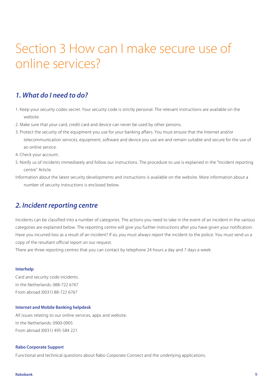## Tarieven zakelijk *Per 1 januari 2015* Section 3 How can I make secure use of online services?

### *1. What do I need to do?*

- 1. Keep your security codes secret. Your security code is strictly personal. The relevant instructions are available on the website.
- 2. Make sure that your card, credit card and device can never be used by other persons.
- 3. Protect the security of the equipment you use for your banking affairs. You must ensure that the Internet and/or telecommunication services, equipment, software and device you use are and remain suitable and secure for the use of an online service.
- 4. Check your account.
- 5. Notify us of incidents immediately and follow our instructions. The procedure to use is explained in the "Incident reporting centre" Article.
- Information about the latest security developments and instructions is available on the website. More information about a number of security instructions is enclosed below.

### *2. Incident reporting centre*

Incidents can be classified into a number of categories. The actions you need to take in the event of an incident in the various categories are explained below. The reporting centre will give you further instructions after you have given your notification. Have you incurred loss as a result of an incident? If so, you must always report the incident to the police. You must send us a copy of the resultant official report on our request.

There are three reporting centres that you can contact by telephone 24 hours a day and 7 days a week:

### **Interhelp**

Card and security code incidents. In the Netherlands: 088-722 6767 From abroad (0031) 88-722 6767

#### **Internet and Mobile Banking helpdesk**

All issues relating to our online services, apps and website. In the Netherlands: 0900-0905 From abroad (0031) 495-584 221

### **Rabo Corporate Support**

Functional and technical questions about Rabo Corporate Connect and the underlying applications.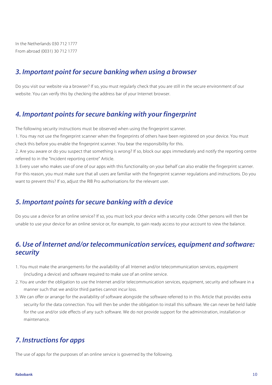Tarieven *Per 1 januari 2015*<br>Tarihi 1777<br>Per 177 januari 2016 In the Netherlands 030 712 1777 From abroad (0031) 30 712 1777

### *3. Important point for secure banking when using a browser*

Do you visit our website via a browser? If so, you must regularly check that you are still in the secure environment of our website. You can verify this by checking the address bar of your Internet browser.

### *4. Important points for secure banking with your fingerprint*

The following security instructions must be observed when using the fingerprint scanner.

1. You may not use the fingerprint scanner when the fingerprints of others have been registered on your device. You must check this before you enable the fingerprint scanner. You bear the responsibility for this.

2. Are you aware or do you suspect that something is wrong? If so, block our apps immediately and notify the reporting centre referred to in the "Incident reporting centre" Article.

3. Every user who makes use of one of our apps with this functionality on your behalf can also enable the fingerprint scanner. For this reason, you must make sure that all users are familiar with the fingerprint scanner regulations and instructions. Do you want to prevent this? If so, adjust the RIB Pro authorisations for the relevant user.

### *5. Important points for secure banking with a device*

Do you use a device for an online service? If so, you must lock your device with a security code. Other persons will then be unable to use your device for an online service or, for example, to gain ready access to your account to view the balance.

### *6. Use of Internet and/or telecommunication services, equipment and software: security*

- 1. You must make the arrangements for the availability of all Internet and/or telecommunication services, equipment (including a device) and software required to make use of an online service.
- 2. You are under the obligation to use the Internet and/or telecommunication services, equipment, security and software in a manner such that we and/or third parties cannot incur loss.
- 3. We can offer or arrange for the availability of software alongside the software referred to in this Article that provides extra security for the data connection. You will then be under the obligation to install this software. We can never be held liable for the use and/or side effects of any such software. We do not provide support for the administration, installation or maintenance.

### *7. Instructions for apps*

The use of apps for the purposes of an online service is governed by the following.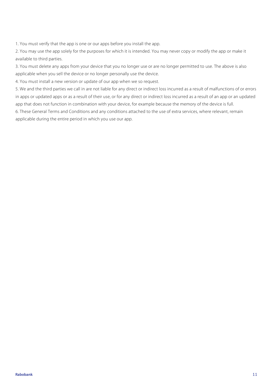the 1.<br>The 1 you must verify that the app is one or our apps before you install the app.

2. You may use the app solely for the purposes for which it is intended. You may never copy or modify the app or make it available to third parties.

3. You must delete any apps from your device that you no longer use or are no longer permitted to use. The above is also applicable when you sell the device or no longer personally use the device.

4. You must install a new version or update of our app when we so request.

5. We and the third parties we call in are not liable for any direct or indirect loss incurred as a result of malfunctions of or errors in apps or updated apps or as a result of their use, or for any direct or indirect loss incurred as a result of an app or an updated app that does not function in combination with your device, for example because the memory of the device is full.

6. These General Terms and Conditions and any conditions attached to the use of extra services, where relevant, remain applicable during the entire period in which you use our app.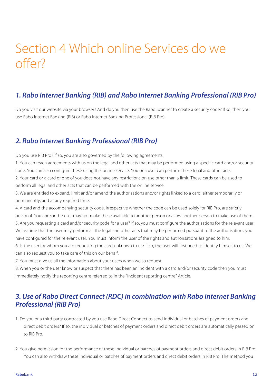## Tarieven zakelijk *Per 1 januari 2015* Section 4 Which online Services do we offer?

### *1. Rabo Internet Banking (RIB) and Rabo Internet Banking Professional (RIB Pro)*

Do you visit our website via your browser? And do you then use the Rabo Scanner to create a security code? If so, then you use Rabo Internet Banking (RIB) or Rabo Internet Banking Professional (RIB Pro).

### *2. Rabo Internet Banking Professional (RIB Pro)*

Do you use RIB Pro? If so, you are also governed by the following agreements.

1. You can reach agreements with us on the legal and other acts that may be performed using a specific card and/or security code. You can also configure these using this online service. You or a user can perform these legal and other acts.

2. Your card or a card of one of you does not have any restrictions on use other than a limit. These cards can be used to perform all legal and other acts that can be performed with the online service.

3. We are entitled to expand, limit and/or amend the authorisations and/or rights linked to a card, either temporarily or permanently, and at any required time.

4. A card and the accompanying security code, irrespective whether the code can be used solely for RIB Pro, are strictly personal. You and/or the user may not make these available to another person or allow another person to make use of them. 5. Are you requesting a card and/or security code for a user? If so, you must configure the authorisations for the relevant user. We assume that the user may perform all the legal and other acts that may be performed pursuant to the authorisations you have configured for the relevant user. You must inform the user of the rights and authorisations assigned to him.

6. Is the user for whom you are requesting the card unknown to us? If so, the user will first need to identify himself to us. We can also request you to take care of this on our behalf.

7. You must give us all the information about your users when we so request.

8. When you or the user know or suspect that there has been an incident with a card and/or security code then you must immediately notify the reporting centre referred to in the "Incident reporting centre" Article.

### *3. Use of Rabo Direct Connect (RDC) in combination with Rabo Internet Banking Professional (RIB Pro)*

- 1. Do you or a third party contracted by you use Rabo Direct Connect to send individual or batches of payment orders and direct debit orders? If so, the individual or batches of payment orders and direct debit orders are automatically passed on to RIB Pro.
- 2. You give permission for the performance of these individual or batches of payment orders and direct debit orders in RIB Pro. You can also withdraw these individual or batches of payment orders and direct debit orders in RIB Pro. The method you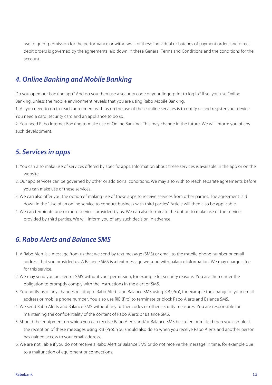use to grant permission for the performance or withdrawal of these individual or batches of payment orders and direct<br>use to grant permission for the performance or withdrawal of these individual or batches of payment orde debit orders is governed by the agreements laid down in these General Terms and Conditions and the conditions for the account.

### *4. Online Banking and Mobile Banking*

Do you open our banking app? And do you then use a security code or your fingerprint to log in? If so, you use Online Banking, unless the mobile environment reveals that you are using Rabo Mobile Banking.

1. All you need to do to reach agreement with us on the use of these online services is to notify us and register your device. You need a card, security card and an appliance to do so.

2. You need Rabo Internet Banking to make use of Online Banking. This may change in the future. We will inform you of any such development.

### *5. Services in apps*

- 1. You can also make use of services offered by specific apps. Information about these services is available in the app or on the website.
- 2. Our app services can be governed by other or additional conditions. We may also wish to reach separate agreements before you can make use of these services.
- 3. We can also offer you the option of making use of these apps to receive services from other parties. The agreement laid down in the "Use of an online service to conduct business with third parties" Article will then also be applicable.
- 4. We can terminate one or more services provided by us. We can also terminate the option to make use of the services provided by third parties. We will inform you of any such decision in advance.

### *6. Rabo Alerts and Balance SMS*

- 1. A Rabo Alert is a message from us that we send by text message (SMS) or email to the mobile phone number or email address that you provided us. A Balance SMS is a text message we send with balance information. We may charge a fee for this service.
- 2. We may send you an alert or SMS without your permission, for example for security reasons. You are then under the obligation to promptly comply with the instructions in the alert or SMS.
- 3. You notify us of any changes relating to Rabo Alerts and Balance SMS using RIB (Pro), for example the change of your email address or mobile phone number. You also use RIB (Pro) to terminate or block Rabo Alerts and Balance SMS.
- 4. We send Rabo Alerts and Balance SMS without any further codes or other security measures. You are responsible for maintaining the confidentiality of the content of Rabo Alerts or Balance SMS.
- 5. Should the equipment on which you can receive Rabo Alerts and/or Balance SMS be stolen or mislaid then you can block the reception of these messages using RIB (Pro). You should also do so when you receive Rabo Alerts and another person has gained access to your email address.
- 6. We are not liable if you do not receive a Rabo Alert or Balance SMS or do not receive the message in time, for example due to a malfunction of equipment or connections.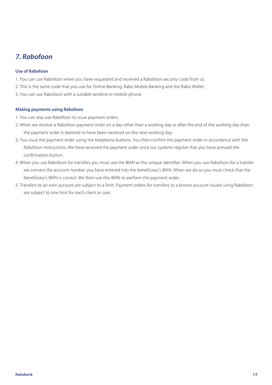## *7. Rabofoon*

### **Use of Rabofoon**

- 1. You can use Rabofoon when you have requested and received a Rabofoon security code from us.
- 2. This is the same code that you use for Online Banking, Rabo Mobile Banking and the Rabo Wallet.
- 3. You can use Rabofoon with a suitable landline or mobile phone.

#### **Making payments using Rabofoon**

- 1. You can also use Rabofoon to issue payment orders.
- 2. When we receive a Rabofoon payment order on a day other than a working day or after the end of the working day then the payment order is deemed to have been received on the next working day.
- 3. You issue the payment order using the telephone buttons. You then confirm the payment order in accordance with the Rabofoon instructions. We have received the payment order once our systems register that you have pressed the confirmation button.
- 4. When you use Rabofoon for transfers you must use the IBAN as the unique identifier. When you use Rabofoon for a transfer we convert the account number you have entered into the beneficiary's IBAN. When we do so you must check that the beneficiary's IBAN is correct. We then use this IBAN to perform the payment order.
- 5. Transfers to an own account are subject to a limit. Payment orders for transfers to a known account issued using Rabofoon are subject to one limit for each client or user.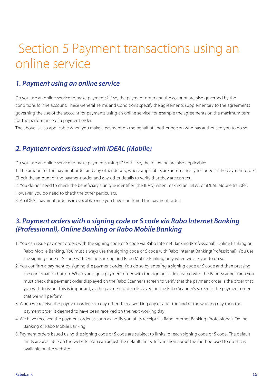# Tarieven zakelijk *Per 1 januari 2015* Section 5 Payment transactions using an online service

### *1. Payment using an online service*

Do you use an online service to make payments? If so, the payment order and the account are also governed by the conditions for the account. These General Terms and Conditions specify the agreements supplementary to the agreements governing the use of the account for payments using an online service, for example the agreements on the maximum term for the performance of a payment order.

The above is also applicable when you make a payment on the behalf of another person who has authorised you to do so.

## *2. Payment orders issued with iDEAL (Mobile)*

Do you use an online service to make payments using iDEAL? If so, the following are also applicable:

1. The amount of the payment order and any other details, where applicable, are automatically included in the payment order. Check the amount of the payment order and any other details to verify that they are correct.

2. You do not need to check the beneficiary's unique identifier (the IBAN) when making an iDEAL or iDEAL Mobile transfer. However, you do need to check the other particulars.

3. An iDEAL payment order is irrevocable once you have confirmed the payment order.

### *3. Payment orders with a signing code or S code via Rabo Internet Banking (Professional), Online Banking or Rabo Mobile Banking*

- 1. You can issue payment orders with the signing code or S code via Rabo Internet Banking (Professional), Online Banking or Rabo Mobile Banking. You must always use the signing code or S code with Rabo Internet Banking(Professional). You use the signing code or S code with Online Banking and Rabo Mobile Banking only when we ask you to do so.
- 2. You confirm a payment by signing the payment order. You do so by entering a signing code or S code and then pressing the confirmation button. When you sign a payment order with the signing code created with the Rabo Scanner then you must check the payment order displayed on the Rabo Scanner's screen to verify that the payment order is the order that you wish to issue. This is important, as the payment order displayed on the Rabo Scanner's screen is the payment order that we will perform.
- 3. When we receive the payment order on a day other than a working day or after the end of the working day then the payment order is deemed to have been received on the next working day.
- 4. We have received the payment order as soon as notify you of its receipt via Rabo Internet Banking (Professional), Online Banking or Rabo Mobile Banking.
- 5. Payment orders issued using the signing code or S code are subject to limits for each signing code or S code. The default limits are available on the website. You can adjust the default limits. Information about the method used to do this is available on the website.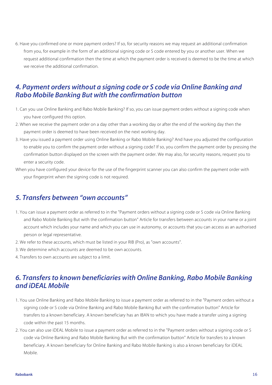e<br>6. Have you confirmed one or more payment orders? If so, for security reasons we may request an additional confirmation from you, for example in the form of an additional signing code or S code entered by you or another user. When we request additional confirmation then the time at which the payment order is received is deemed to be the time at which we receive the additional confirmation.

### *4. Payment orders without a signing code or S code via Online Banking and Rabo Mobile Banking But with the confirmation button*

- 1. Can you use Online Banking and Rabo Mobile Banking? If so, you can issue payment orders without a signing code when you have configured this option.
- 2. When we receive the payment order on a day other than a working day or after the end of the working day then the payment order is deemed to have been received on the next working day.
- 3. Have you issued a payment order using Online Banking or Rabo Mobile Banking? And have you adjusted the configuration to enable you to confirm the payment order without a signing code? If so, you confirm the payment order by pressing the confirmation button displayed on the screen with the payment order. We may also, for security reasons, request you to enter a security code.
- When you have configured your device for the use of the fingerprint scanner you can also confirm the payment order with your fingerprint when the signing code is not required.

### *5. Transfers between "own accounts"*

- 1. You can issue a payment order as referred to in the "Payment orders without a signing code or S code via Online Banking and Rabo Mobile Banking But with the confirmation button" Article for transfers between accounts in your name or a joint account which includes your name and which you can use in autonomy, or accounts that you can access as an authorised person or legal representative.
- 2. We refer to these accounts, which must be listed in your RIB (Pro), as "own accounts".
- 3. We determine which accounts are deemed to be own accounts.
- 4. Transfers to own accounts are subject to a limit.

### *6. Transfers to known beneficiaries with Online Banking, Rabo Mobile Banking and iDEAL Mobile*

- 1. You use Online Banking and Rabo Mobile Banking to issue a payment order as referred to in the "Payment orders without a signing code or S code via Online Banking and Rabo Mobile Banking But with the confirmation button" Article for transfers to a known beneficiary. A known beneficiary has an IBAN to which you have made a transfer using a signing code within the past 15 months.
- 2. You can also use iDEAL Mobile to issue a payment order as referred to in the "Payment orders without a signing code or S code via Online Banking and Rabo Mobile Banking But with the confirmation button" Article for transfers to a known beneficiary. A known beneficiary for Online Banking and Rabo Mobile Banking is also a known beneficiary for iDEAL Mobile.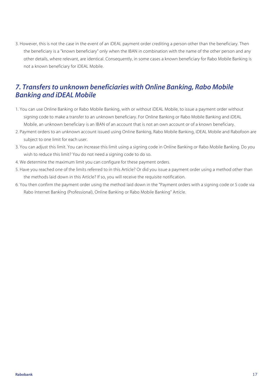.<br>3. However, this is not the case in the event of an iDEAL payment order crediting a person other than the beneficiary. Then the beneficiary is a "known beneficiary" only when the IBAN in combination with the name of the other person and any other details, where relevant, are identical. Consequently, in some cases a known beneficiary for Rabo Mobile Banking is not a known beneficiary for iDEAL Mobile.

### *7. Transfers to unknown beneficiaries with Online Banking, Rabo Mobile Banking and iDEAL Mobile*

- 1. You can use Online Banking or Rabo Mobile Banking, with or without iDEAL Mobile, to issue a payment order without signing code to make a transfer to an unknown beneficiary. For Online Banking or Rabo Mobile Banking and iDEAL Mobile, an unknown beneficiary is an IBAN of an account that is not an own account or of a known beneficiary.
- 2. Payment orders to an unknown account issued using Online Banking, Rabo Mobile Banking, iDEAL Mobile and Rabofoon are subject to one limit for each user.
- 3. You can adjust this limit. You can increase this limit using a signing code in Online Banking or Rabo Mobile Banking. Do you wish to reduce this limit? You do not need a signing code to do so.
- 4. We determine the maximum limit you can configure for these payment orders.
- 5. Have you reached one of the limits referred to in this Article? Or did you issue a payment order using a method other than the methods laid down in this Article? If so, you will receive the requisite notification.
- 6. You then confirm the payment order using the method laid down in the "Payment orders with a signing code or S code via Rabo Internet Banking (Professional), Online Banking or Rabo Mobile Banking" Article.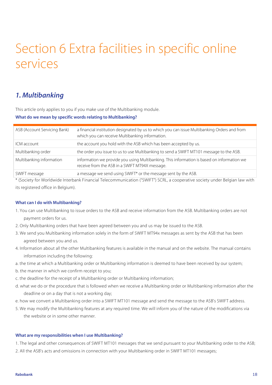## Tarieven zakelijk *Per 1 januari 2015* Section 6 Extra facilities in specific online services

## *1. Multibanking*

This article only applies to you if you make use of the Multibanking module.

### **What do we mean by specific words relating to Multibanking?**

| ASB (Account Servicing Bank) | a financial institution designated by us to which you can issue Multibanking Orders and from<br>which you can receive Multibanking information. |
|------------------------------|-------------------------------------------------------------------------------------------------------------------------------------------------|
| ICM account                  | the account you hold with the ASB which has been accepted by us.                                                                                |
| Multibanking order           | the order you issue to us to use Multibanking to send a SWIFT MT101 message to the ASB.                                                         |
| Multibanking information     | information we provide you using Multibanking. This information is based on information we<br>receive from the ASB in a SWIFT MT94X message.    |
| SWIFT message                | a message we send using SWIFT* or the message sent by the ASB.                                                                                  |

\* (Society for Worldwide Interbank Financial Telecommunication ("SWIFT") SCRL, a cooperative society under Belgian law with its registered office in Belgium).

### **What can I do with Multibanking?**

- 1. You can use Multibanking to issue orders to the ASB and receive information from the ASB. Multibanking orders are not payment orders for us.
- 2. Only Multibanking orders that have been agreed between you and us may be issued to the ASB.
- 3. We send you Multibanking information solely in the form of SWIFT MT94x messages as sent by the ASB that has been agreed between you and us.
- 4. Information about all the other Multibanking features is available in the manual and on the website. The manual contains information including the following:
- a. the time at which a Multibanking order or Multibanking information is deemed to have been received by our system;
- b. the manner in which we confirm receipt to you;
- c. the deadline for the receipt of a Multibanking order or Multibanking information;
- d. what we do or the procedure that is followed when we receive a Multibanking order or Multibanking information after the deadline or on a day that is not a working day;
- e. how we convert a Multibanking order into a SWIFT MT101 message and send the message to the ASB's SWIFT address.
- 5. We may modify the Multibanking features at any required time. We will inform you of the nature of the modifications via the website or in some other manner.

### **What are my responsibilities when I use Multibanking?**

1. The legal and other consequences of SWIFT MT101 messages that we send pursuant to your Multibanking order to the ASB;

2. All the ASB's acts and omissions in connection with your Multibanking order in SWIFT MT101 messages;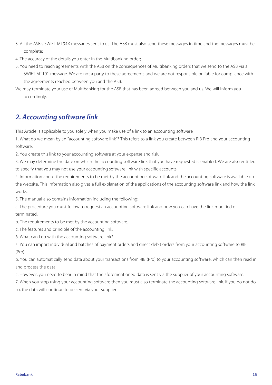- .<br>3. All the ASB's SWIFT MT94X messages sent to us. The ASB must also send these messages in time and the messages must be complete;
- 4. The accuracy of the details you enter in the Multibanking order;
- 5. You need to reach agreements with the ASB on the consequences of Multibanking orders that we send to the ASB via a SWIFT MT101 message. We are not a party to these agreements and we are not responsible or liable for compliance with the agreements reached between you and the ASB.
- We may terminate your use of Multibanking for the ASB that has been agreed between you and us. We will inform you accordingly.

### *2. Accounting software link*

This Article is applicable to you solely when you make use of a link to an accounting software

1. What do we mean by an "accounting software link"? This refers to a link you create between RIB Pro and your accounting software.

2. You create this link to your accounting software at your expense and risk.

3. We may determine the date on which the accounting software link that you have requested is enabled. We are also entitled to specify that you may not use your accounting software link with specific accounts.

4. Information about the requirements to be met by the accounting software link and the accounting software is available on the website. This information also gives a full explanation of the applications of the accounting software link and how the link works.

5. The manual also contains information including the following:

a. The procedure you must follow to request an accounting software link and how you can have the link modified or terminated.

b. The requirements to be met by the accounting software.

- c. The features and principle of the accounting link.
- 6. What can I do with the accounting software link?

a. You can import individual and batches of payment orders and direct debit orders from your accounting software to RIB (Pro),

b. You can automatically send data about your transactions from RIB (Pro) to your accounting software, which can then read in and process the data.

c. However, you need to bear in mind that the aforementioned data is sent via the supplier of your accounting software.

7. When you stop using your accounting software then you must also terminate the accounting software link. If you do not do so, the data will continue to be sent via your supplier.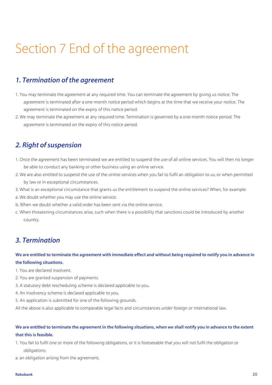# Tarieven zakelijk *Per 1 januari 2015* Section 7 End of the agreement

## *1. Termination of the agreement*

- 1. You may terminate the agreement at any required time. You can terminate the agreement by giving us notice. The agreement is terminated after a one-month notice period which begins at the time that we receive your notice. The agreement is terminated on the expiry of this notice period.
- 2. We may terminate the agreement at any required time. Termination is governed by a one-month notice period. The agreement is terminated on the expiry of this notice period.

## *2. Right of suspension*

- 1. Once the agreement has been terminated we are entitled to suspend the use of all online services. You will then no longer be able to conduct any banking or other business using an online service.
- 2. We are also entitled to suspend the use of the online services when you fail to fulfil an obligation to us, or when permitted by law or in exceptional circumstances.
- 3. What is an exceptional circumstance that grants us the entitlement to suspend the online services? When, for example:
- a. We doubt whether you may use the online service.
- b. When we doubt whether a valid order has been sent via the online service.
- c. When threatening circumstances arise, such when there is a possibility that sanctions could be introduced by another country.

### *3. Termination*

### **We are entitled to terminate the agreement with immediate effect and without being required to notify you in advance in the following situations.**

- 1. You are declared insolvent.
- 2. You are granted suspension of payments.
- 3. A statutory debt rescheduling scheme is declared applicable to you.
- 4. An insolvency scheme is declared applicable to you.
- 5. An application is submitted for one of the following grounds.

All the above is also applicable to comparable legal facts and circumstances under foreign or international law.

### **We are entitled to terminate the agreement in the following situations, when we shall notify you in advance to the extent that this is feasible.**

1. You fail to fulfil one or more of the following obligations, or it is foreseeable that you will not fulfil the obligation or obligations:

a. an obligation arising from the agreement;

#### **Rabobank** 20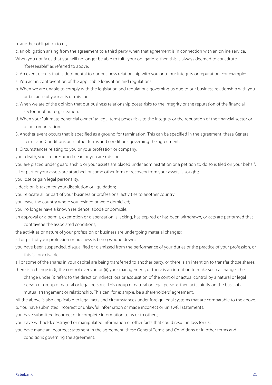Tangler and *Per 1 januari 2015* b. another obligation to us;

c. an obligation arising from the agreement to a third party when that agreement is in connection with an online service. When you notify us that you will no longer be able to fulfil your obligations then this is always deemed to constitute

"foreseeable" as referred to above.

- 2. An event occurs that is detrimental to our business relationship with you or to our integrity or reputation. For example:
- a. You act in contravention of the applicable legislation and regulations.
- b. When we are unable to comply with the legislation and regulations governing us due to our business relationship with you or because of your acts or missions.
- c. When we are of the opinion that our business relationship poses risks to the integrity or the reputation of the financial sector or of our organization.
- d. When your "ultimate beneficial owner" (a legal term) poses risks to the integrity or the reputation of the financial sector or of our organization.
- 3. Another event occurs that is specified as a ground for termination. This can be specified in the agreement, these General

Terms and Conditions or in other terms and conditions governing the agreement.

a. Circumstances relating to you or your profession or company:

your death, you are presumed dead or you are missing;

you are placed under guardianship or your assets are placed under administration or a petition to do so is filed on your behalf; all or part of your assets are attached, or some other form of recovery from your assets is sought;

you lose or gain legal personality;

a decision is taken for your dissolution or liquidation;

you relocate all or part of your business or professional activities to another country;

you leave the country where you resided or were domiciled;

you no longer have a known residence, abode or domicile;

an approval or a permit, exemption or dispensation is lacking, has expired or has been withdrawn, or acts are performed that contravene the associated conditions;

the activities or nature of your profession or business are undergoing material changes;

all or part of your profession or business is being wound down;

you have been suspended, disqualified or dismissed from the performance of your duties or the practice of your profession, or this is conceivable;

all or some of the shares in your capital are being transferred to another party, or there is an intention to transfer those shares; there is a change in (i) the control over you or (ii) your management, or there is an intention to make such a change. The

change under (i) refers to the direct or indirect loss or acquisition of the control or actual control by a natural or legal person or group of natural or legal persons. This group of natural or legal persons then acts jointly on the basis of a mutual arrangement or relationship. This can, for example, be a shareholders' agreement.

All the above is also applicable to legal facts and circumstances under foreign legal systems that are comparable to the above. b. You have submitted incorrect or unlawful information or made incorrect or unlawful statements:

you have submitted incorrect or incomplete information to us or to others;

you have withheld, destroyed or manipulated information or other facts that could result in loss for us;

you have made an incorrect statement in the agreement, these General Terms and Conditions or in other terms and conditions governing the agreement.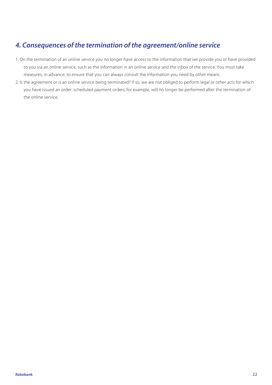## Tarieven zakelijk *Per 1 januari 2015 4. Consequences of the termination of the agreement/online service*

- 1. On the termination of an online service you no longer have access to the information that we provide you or have provided to you via an online service, such as the information in an online service and the inbox of the service. You must take measures, in advance, to ensure that you can always consult the information you need by other means.
- 2. Is the agreement or is an online service being terminated? If so, we are not obliged to perform legal or other acts for which you have issued an order: scheduled payment orders, for example, will no longer be performed after the termination of the online service.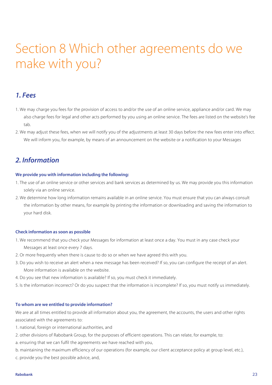# Tarieven zakelijk *Per 1 januari 2015* Section 8 Which other agreements do we make with you?

### *1. Fees*

- 1. We may charge you fees for the provision of access to and/or the use of an online service, appliance and/or card. We may also charge fees for legal and other acts performed by you using an online service. The fees are listed on the website's fee tab.
- 2. We may adjust these fees, when we will notify you of the adjustments at least 30 days before the new fees enter into effect. We will inform you, for example, by means of an announcement on the website or a notification to your Messages

### *2. Information*

### **We provide you with information including the following:**

- 1. The use of an online service or other services and bank services as determined by us. We may provide you this information solely via an online service.
- 2. We determine how long information remains available in an online service. You must ensure that you can always consult the information by other means, for example by printing the information or downloading and saving the information to your hard disk.

### **Check information as soon as possible**

- 1. We recommend that you check your Messages for information at least once a day. You must in any case check your Messages at least once every 7 days.
- 2. Or more frequently when there is cause to do so or when we have agreed this with you.
- 3. Do you wish to receive an alert when a new message has been received? If so, you can configure the receipt of an alert. More information is available on the website.
- 4. Do you see that new information is available? If so, you must check it immediately.
- 5. Is the information incorrect? Or do you suspect that the information is incomplete? If so, you must notify us immediately.

### **To whom are we entitled to provide information?**

We are at all times entitled to provide all information about you, the agreement, the accounts, the users and other rights associated with the agreements to:

- 1. national, foreign or international authorities, and
- 2. other divisions of Rabobank Group, for the purposes of efficient operations. This can relate, for example, to:
- a. ensuring that we can fulfil the agreements we have reached with you,
- b. maintaining the maximum efficiency of our operations (for example, our client acceptance policy at group level, etc.), c. provide you the best possible advice, and,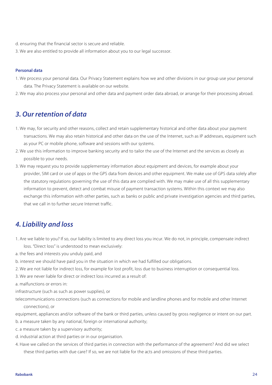- d. ensuring that the financial sector is secure and reliable.<br>d. ensuring that the financial sector is secure and reliable.
- 3. We are also entitled to provide all information about you to our legal successor.

#### **Personal data**

- 1. We process your personal data. Our Privacy Statement explains how we and other divisions in our group use your personal data. The Privacy Statement is available on our website.
- 2. We may also process your personal and other data and payment order data abroad, or arrange for their processing abroad.

### *3. Our retention of data*

- 1. We may, for security and other reasons, collect and retain supplementary historical and other data about your payment transactions. We may also retain historical and other data on the use of the Internet, such as IP addresses, equipment such as your PC or mobile phone, software and sessions with our systems.
- 2. We use this information to improve banking security and to tailor the use of the Internet and the services as closely as possible to your needs.
- 3. We may request you to provide supplementary information about equipment and devices, for example about your provider, SIM card or use of apps or the GPS data from devices and other equipment. We make use of GPS data solely after the statutory regulations governing the use of this data are complied with. We may make use of all this supplementary information to prevent, detect and combat misuse of payment transaction systems. Within this context we may also exchange this information with other parties, such as banks or public and private investigation agencies and third parties, that we call in to further secure Internet traffic.

### *4. Liability and loss*

- 1. Are we liable to you? If so, our liability is limited to any direct loss you incur. We do not, in principle, compensate indirect loss. "Direct loss" is understood to mean exclusively:
- a. the fees and interests you unduly paid, and
- b. interest we should have paid you in the situation in which we had fulfilled our obligations.
- 2. We are not liable for indirect loss, for example for lost profit, loss due to business interruption or consequential loss.
- 3. We are never liable for direct or indirect loss incurred as a result of:
- a. malfunctions or errors in:

infrastructure (such as such as power supplies), or

telecommunications connections (such as connections for mobile and landline phones and for mobile and other Internet connections), or

equipment, appliances and/or software of the bank or third parties, unless caused by gross negligence or intent on our part.

- b. a measure taken by any national, foreign or international authority;
- c. a measure taken by a supervisory authority;
- d. industrial action at third parties or in our organisation.
- 4. Have we called on the services of third parties in connection with the performance of the agreement? And did we select these third parties with due care? If so, we are not liable for the acts and omissions of these third parties.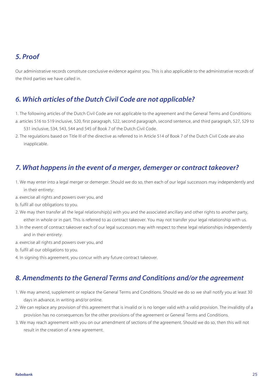### *5. Proof*

Our administrative records constitute conclusive evidence against you. This is also applicable to the administrative records of the third parties we have called in.

### *6. Which articles of the Dutch Civil Code are not applicable?*

1. The following articles of the Dutch Civil Code are not applicable to the agreement and the General Terms and Conditions:

- a. articles 516 to 519 inclusive, 520, first paragraph, 522, second paragraph, second sentence, and third paragraph, 527, 529 to 531 inclusive, 534, 543, 544 and 545 of Book 7 of the Dutch Civil Code.
- 2. The regulations based on Title III of the directive as referred to in Article 514 of Book 7 of the Dutch Civil Code are also inapplicable.

### *7. What happens in the event of a merger, demerger or contract takeover?*

- 1. We may enter into a legal merger or demerger. Should we do so, then each of our legal successors may independently and in their entirety:
- a. exercise all rights and powers over you, and
- b. fulfil all our obligations to you.
- 2. We may then transfer all the legal relationship(s) with you and the associated ancillary and other rights to another party, either in whole or in part. This is referred to as contract takeover. You may not transfer your legal relationship with us.
- 3. In the event of contract takeover each of our legal successors may with respect to these legal relationships independently and in their entirety:
- a. exercise all rights and powers over you, and
- b. fulfil all our obligations to you.
- 4. In signing this agreement, you concur with any future contract takeover.

### *8. Amendments to the General Terms and Conditions and/or the agreement*

- 1. We may amend, supplement or replace the General Terms and Conditions. Should we do so we shall notify you at least 30 days in advance, in writing and/or online.
- 2. We can replace any provision of this agreement that is invalid or is no longer valid with a valid provision. The invalidity of a provision has no consequences for the other provisions of the agreement or General Terms and Conditions.
- 3. We may reach agreement with you on our amendment of sections of the agreement. Should we do so, then this will not result in the creation of a new agreement.